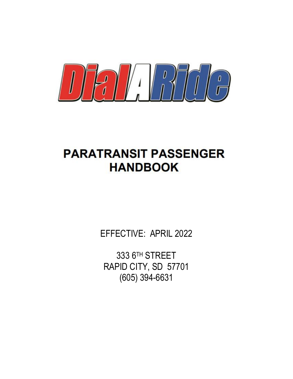

# **PARATRANSIT PASSENGER HANDBOOK**

EFFECTIVE: APRIL 2022

333 6TH STREET RAPID CITY, SD 57701 (605) 394-6631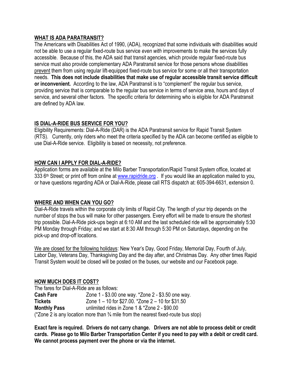### **WHAT IS ADA PARATRANSIT?**

The Americans with Disabilities Act of 1990, (ADA), recognized that some individuals with disabilities would not be able to use a regular fixed-route bus service *even with* improvements to make the services fully accessible. Because of this, the ADA said that transit agencies, which provide regular fixed-route bus service must also provide complementary ADA Paratransit service for those persons whose disabilities prevent them from using regular lift-equipped fixed-route bus service for some or all their transportation needs. **This does not include disabilities that make use of regular accessible transit service difficult or inconvenient.** According to the law, ADA Paratransit is to "complement" the regular bus service, providing service that is comparable to the regular bus service in terms of service area, hours and days of service, and several other factors. The specific criteria for determining who is eligible for ADA Paratransit are defined by ADA law.

# **IS DIAL-A-RIDE BUS SERVICE FOR YOU?**

Eligibility Requirements: Dial-A-Ride (DAR) is the ADA Paratransit service for Rapid Transit System (RTS). Currently, only riders who meet the criteria specified by the ADA can become certified as eligible to use Dial-A-Ride service. Eligibility is based on necessity, not preference.

# **HOW CAN I APPLY FOR DIAL-A-RIDE?**

Application forms are available at the Milo Barber Transportation/Rapid Transit System office, located at 333 6<sup>th</sup> Street; or print off from online at [www.rapidride.org](http://www.rapidride.org/) . If you would like an application mailed to you, or have questions regarding ADA or Dial-A-Ride, please call RTS dispatch at: 605-394-6631, extension 0.

# **WHERE AND WHEN CAN YOU GO?**

Dial-A-Ride travels within the corporate city limits of Rapid City. The length of your trip depends on the number of stops the bus will make for other passengers. Every effort will be made to ensure the shortest trip possible. Dial-A-Ride pick-ups begin at 6:10 AM and the last scheduled ride will be approximately 5:30 PM Monday through Friday; and we start at 8:30 AM through 5:30 PM on Saturdays, depending on the pick-up and drop-off locations.

We are closed for the following holidays: New Year's Day, Good Friday, Memorial Day, Fourth of July, Labor Day, Veterans Day, Thanksgiving Day and the day after, and Christmas Day. Any other times Rapid Transit System would be closed will be posted on the buses, our website and our Facebook page.

### **HOW MUCH DOES IT COST?**

The fares for Dial-A-Ride are as follows: **Cash Fare** Zone 1 - \$3.00 one way. \*Zone 2 - \$3.50 one way. **Tickets** Zone 1 – 10 for \$27.00. \*Zone 2 – 10 for \$31.50 **Monthly Pass** unlimited rides in Zone 1 & \*Zone 2 - \$90.00 ( $*$ Zone 2 is any location more than  $\frac{3}{4}$  mile from the nearest fixed-route bus stop)

**Exact fare is required. Drivers do not carry change. Drivers are not able to process debit or credit cards. Please go to Milo Barber Transportation Center if you need to pay with a debit or credit card. We cannot process payment over the phone or via the internet.**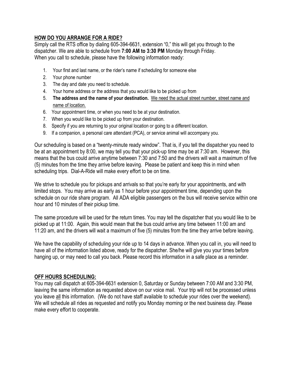## **HOW DO YOU ARRANGE FOR A RIDE?**

Simply call the RTS office by dialing 605-394-6631, extension "0," this will get you through to the dispatcher. We are able to schedule from **7:00 AM to 3:30 PM** Monday through Friday. When you call to schedule, please have the following information ready:

- 1. Your first and last name, or the rider's name if scheduling for someone else
- 2. Your phone number
- 3. The day and date you need to schedule.
- 4. Your home address or the address that you would like to be picked up from
- 5. **The address and the name of your destination.** We need the actual street number, street name and name of location.
- 6. Your appointment time, or when you need to be at your destination.
- 7. When you would like to be picked up from your destination.
- 8. Specify if you are returning to your original location or going to a different location.
- 9. If a companion, a personal care attendant (PCA), or service animal will accompany you.

Our scheduling is based on a "twenty-minute ready window". That is, if you tell the dispatcher you need to be at an appointment by 8:00, we may tell you that your pick-up time may be at 7:30 am. However, this means that the bus could arrive anytime between 7:30 and 7:50 and the drivers will wait a maximum of five (5) minutes from the time they arrive before leaving. Please be patient and keep this in mind when scheduling trips. Dial-A-Ride will make every effort to be on time.

We strive to schedule you for pickups and arrivals so that you're early for your appointments, and with limited stops. You may arrive as early as 1 hour before your appointment time, depending upon the schedule on our ride share program. All ADA eligible passengers on the bus will receive service within one hour and 10 minutes of their pickup time.

The same procedure will be used for the return times. You may tell the dispatcher that you would like to be picked up at 11:00. Again, this would mean that the bus could arrive any time between 11:00 am and 11:20 am, and the drivers will wait a maximum of five (5) minutes from the time they arrive before leaving.

We have the capability of scheduling your ride up to 14 days in advance. When you call in, you will need to have all of the information listed above, ready for the dispatcher. She/he will give you your times before hanging up, or may need to call you back. Please record this information in a safe place as a reminder.

#### **OFF HOURS SCHEDULING:**

You may call dispatch at 605-394-6631 extension 0, Saturday or Sunday between 7:00 AM and 3:30 PM, leaving the same information as requested above on our voice mail. Your trip will not be processed unless you leave all this information. (We do not have staff available to schedule your rides over the weekend). We will schedule all rides as requested and notify you Monday morning or the next business day. Please make every effort to cooperate.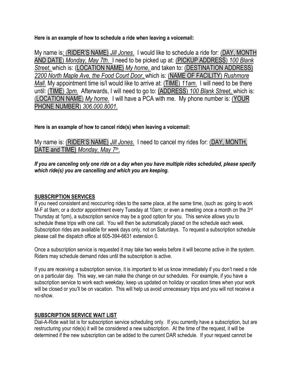**Here is an example of how to schedule a ride when leaving a voicemail:**

My name is: (RIDER'S NAME) *Jill Jones*. I would like to schedule a ride for: (DAY, MONTH AND DATE) *Monday, May 7th*. I need to be picked up at: (PICKUP ADDRESS) *100 Blank Street*, which is: (LOCATION NAME) *My home*, and taken to: (DESTINATION ADDRESS) *2200 North Maple Ave, the Food Court Door*, which is: (NAME OF FACILITY) *Rushmore Mall*. My appointment time is/I would like to arrive at: (TIME) *11am*. I will need to be there until: (TIME) *3pm*. Afterwards, I will need to go to: (ADDRESS) *100 Blank Street*, which is: (LOCATION NAME) *My home*. I will have a PCA with me. My phone number is: (YOUR PHONE NUMBER) *306.000.8001*.

# **Here is an example of how to cancel ride(s) when leaving a voicemail:**

My name is: (RIDER'S NAME) *Jill Jones*. I need to cancel my rides for: (DAY, MONTH, DATE and TIME) *Monday, May 7th* .

*If you are canceling only one ride on a day when you have multiple rides scheduled, please specify which ride(s) you are cancelling and which you are keeping.*

# **SUBSCRIPTION SERVICES**

If you need consistent and reoccurring rides to the same place, at the same time, (such as: going to work M-F at 9am; or a doctor appointment every Tuesday at 10am; or even a meeting once a month on the 3<sup>rd</sup> Thursday at 1pm), a subscription service may be a good option for you. This service allows you to schedule these trips with one call. You will then be automatically placed on the schedule each week. Subscription rides are available for week days only, not on Saturdays. To request a subscription schedule please call the dispatch office at 605-394-6631 extension 0.

Once a subscription service is requested it may take two weeks before it will become active in the system. Riders may schedule demand rides until the subscription is active.

If you are receiving a subscription service, it is important to let us know immediately if you don't need a ride on a particular day. This way, we can make the change on our schedules. For example, if you have a subscription service to work each weekday, keep us updated on holiday or vacation times when your work will be closed or you'll be on vacation. This will help us avoid unnecessary trips and you will not receive a no-show.

# **SUBSCRIPTION SERVICE WAIT LIST**

Dial-A-Ride wait list is for subscription service scheduling only. If you currently have a subscription, but are restructuring your ride(s) it will be considered a new subscription. At the time of the request, it will be determined if the new subscription can be added to the current DAR schedule. If your request cannot be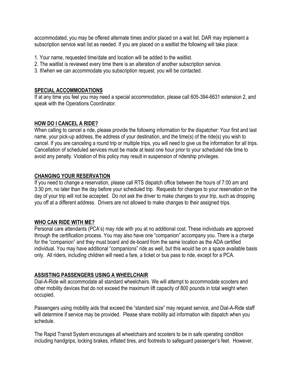accommodated, you may be offered alternate times and/or placed on a wait list. DAR may implement a subscription service wait list as needed. If you are placed on a waitlist the following will take place:

- 1. Your name, requested time/date and location will be added to the waitlist.
- 2. The waitlist is reviewed every time there is an alteration of another subscription service.
- 3. If/when we can accommodate you subscription request, you will be contacted.

#### **SPECIAL ACCOMMODATIONS**

If at any time you feel you may need a special accommodation, please call 605-394-6631 extension 2, and speak with the Operations Coordinator.

### **HOW DO I CANCEL A RIDE?**

When calling to cancel a ride, please provide the following information for the dispatcher: Your first and last name, your pick-up address, the address of your destination, and the time(s) of the ride(s) you wish to cancel. If you are canceling a round trip or multiple trips, you will need to give us the information for all trips. Cancellation of scheduled services must be made at least one hour prior to your scheduled ride time to avoid any penalty. Violation of this policy may result in suspension of ridership privileges.

#### **CHANGING YOUR RESERVATION**

If you need to change a reservation, please call RTS dispatch office between the hours of 7:00 am and 3:30 pm, no later than the day before your scheduled trip. Requests for changes to your reservation on the day of your trip will not be accepted. Do not ask the driver to make changes to your trip, such as dropping you off at a different address. Drivers are not allowed to make changes to their assigned trips.

### **WHO CAN RIDE WITH ME?**

Personal care attendants (PCA's) may ride with you at no additional cost. These individuals are approved through the certification process. You may also have one "companion" accompany you. There is a charge for the "companion" and they must board and de-board from the same location as the ADA certified individual. You may have additional "companions" ride as well, but this would be on a space available basis only. All riders, including children will need a fare, a ticket or bus pass to ride, except for a PCA.

### **ASSISTING PASSENGERS USING A WHEELCHAIR**

Dial-A-Ride will accommodate all standard wheelchairs. We will attempt to accommodate scooters and other mobility devices that do not exceed the maximum lift capacity of 800 pounds in total weight when occupied.

Passengers using mobility aids that exceed the "standard size" may request service, and Dial-A-Ride staff will determine if service may be provided. Please share mobility aid information with dispatch when you schedule.

The Rapid Transit System encourages all wheelchairs and scooters to be in safe operating condition including handgrips, locking brakes, inflated tires, and footrests to safeguard passenger's feet. However,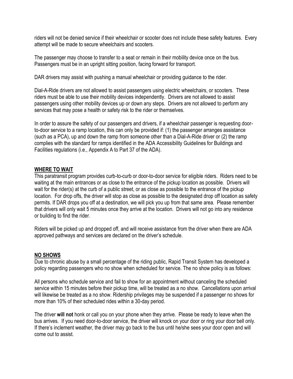riders will not be denied service if their wheelchair or scooter does not include these safety features. Every attempt will be made to secure wheelchairs and scooters.

The passenger may choose to transfer to a seat or remain in their mobility device once on the bus. Passengers must be in an upright sitting position, facing forward for transport.

DAR drivers may assist with pushing a manual wheelchair or providing guidance to the rider.

Dial-A-Ride drivers are not allowed to assist passengers using electric wheelchairs, or scooters. These riders must be able to use their mobility devices independently. Drivers are not allowed to assist passengers using other mobility devices up or down any steps. Drivers are not allowed to perform any services that may pose a health or safety risk to the rider or themselves.

In order to assure the safety of our passengers and drivers, if a wheelchair passenger is requesting doorto-door service to a ramp location, this can only be provided if: (1) the passenger arranges assistance (such as a PCA), up and down the ramp from someone other than a Dial-A-Ride driver or (2) the ramp complies with the standard for ramps identified in the ADA Accessibility Guidelines for Buildings and Facilities regulations (i.e., Appendix A to Part 37 of the ADA).

### **WHERE TO WAIT**

This paratransit program provides curb-to-curb or door-to-door service for eligible riders. Riders need to be waiting at the main entrances or as close to the entrance of the pickup location as possible. Drivers will wait for the rider(s) at the curb of a public street, or as close as possible to the entrance of the pickup location. For drop offs, the driver will stop as close as possible to the designated drop off location as safety permits. If DAR drops you off at a destination, we will pick you up from that same area. Please remember that drivers will only wait 5 minutes once they arrive at the location. Drivers will not go into any residence or building to find the rider.

Riders will be picked up and dropped off, and will receive assistance from the driver when there are ADA approved pathways and services are declared on the driver's schedule.

### **NO SHOWS**

Due to chronic abuse by a small percentage of the riding public, Rapid Transit System has developed a policy regarding passengers who no show when scheduled for service. The no show policy is as follows:

All persons who schedule service and fail to show for an appointment without canceling the scheduled service within 15 minutes before their pickup time, will be treated as a no show. Cancellations upon arrival will likewise be treated as a no show. Ridership privileges may be suspended if a passenger no shows for more than 10% of their scheduled rides within a 30-day period.

The driver **will not** honk or call you on your phone when they arrive. Please be ready to leave when the bus arrives. If you need door-to-door service, the driver will knock on your door or ring your door bell only. If there's inclement weather, the driver may go back to the bus until he/she sees your door open and will come out to assist.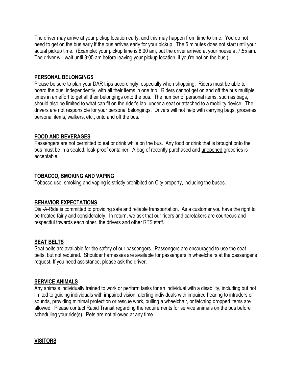The driver may arrive at your pickup location early, and this may happen from time to time. You do not need to get on the bus early if the bus arrives early for your pickup. The 5 minutes does not start until your actual pickup time. (Example: your pickup time is 8:00 am, but the driver arrived at your house at 7:55 am. The driver will wait until 8:05 am before leaving your pickup location, if you're not on the bus.)

### **PERSONAL BELONGINGS**

Please be sure to plan your DAR trips accordingly, especially when shopping. Riders must be able to board the bus, independently, with all their items in one trip. Riders cannot get on and off the bus multiple times in an effort to get all their belongings onto the bus. The number of personal items, such as bags, should also be limited to what can fit on the rider's lap, under a seat or attached to a mobility device. The drivers are not responsible for your personal belongings. Drivers will not help with carrying bags, groceries, personal items, walkers, etc., onto and off the bus.

## **FOOD AND BEVERAGES**

Passengers are not permitted to eat or drink while on the bus. Any food or drink that is brought onto the bus must be in a sealed, leak-proof container. A bag of recently purchased and unopened groceries is acceptable.

### **TOBACCO, SMOKING AND VAPING**

Tobacco use, smoking and vaping is strictly prohibited on City property, including the buses.

### **BEHAVIOR EXPECTATIONS**

Dial-A-Ride is committed to providing safe and reliable transportation. As a customer you have the right to be treated fairly and considerately. In return, we ask that our riders and caretakers are courteous and respectful towards each other, the drivers and other RTS staff.

### **SEAT BELTS**

Seat belts are available for the safety of our passengers. Passengers are encouraged to use the seat belts, but not required. Shoulder harnesses are available for passengers in wheelchairs at the passenger's request. If you need assistance, please ask the driver.

### **SERVICE ANIMALS**

Any animals individually trained to work or perform tasks for an individual with a disability, including but not limited to guiding individuals with impaired vision, alerting individuals with impaired hearing to intruders or sounds, providing minimal protection or rescue work, pulling a wheelchair, or fetching dropped items are allowed. Please contact Rapid Transit regarding the requirements for service animals on the bus before scheduling your ride(s). Pets are not allowed at any time.

# **VISITORS**